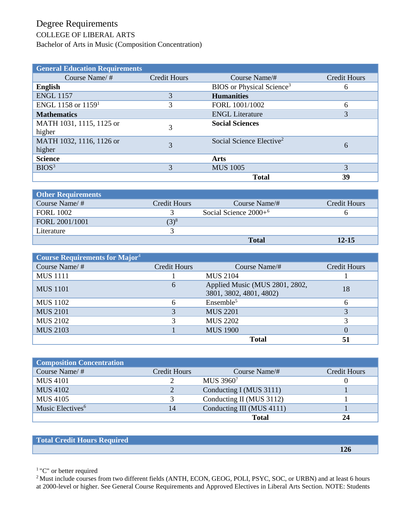## Degree Requirements

## COLLEGE OF LIBERAL ARTS

Bachelor of Arts in Music (Composition Concentration)

| <b>General Education Requirements</b> |                     |                                       |              |
|---------------------------------------|---------------------|---------------------------------------|--------------|
| Course Name/ $#$                      | <b>Credit Hours</b> | Course Name/#                         | Credit Hours |
| <b>English</b>                        |                     | BIOS or Physical Science <sup>3</sup> | 6            |
| <b>ENGL 1157</b>                      |                     | <b>Humanities</b>                     |              |
| ENGL 1158 or $11591$                  | 3                   | FORL 1001/1002                        | 6            |
| <b>Mathematics</b>                    |                     | <b>ENGL Literature</b>                | 3            |
| MATH 1031, 1115, 1125 or<br>higher    | 3                   | <b>Social Sciences</b>                |              |
| MATH 1032, 1116, 1126 or<br>higher    | 3                   | Social Science Elective <sup>2</sup>  | 6            |
| <b>Science</b>                        |                     | Arts                                  |              |
| BIOS <sup>3</sup>                     | 3                   | <b>MUS 1005</b>                       | 3            |
|                                       |                     | <b>Total</b>                          | 39           |

| <b>Other Requirements</b> |              |                         |              |
|---------------------------|--------------|-------------------------|--------------|
| Course Name/ $#$          | Credit Hours | Course Name/#           | Credit Hours |
| <b>FORL 1002</b>          |              | Social Science $2000+6$ |              |
| FORL 2001/1001            | $(3)^8$      |                         |              |
| Literature                |              |                         |              |
|                           |              | <b>Total</b>            | $12 - 15$    |

| Course Requirements for Major <sup>4</sup> |                     |                                                           |              |
|--------------------------------------------|---------------------|-----------------------------------------------------------|--------------|
| Course Name/ $#$                           | <b>Credit Hours</b> | Course Name/#                                             | Credit Hours |
| <b>MUS</b> 1111                            |                     | MUS 2104                                                  |              |
| <b>MUS</b> 1101                            | 6                   | Applied Music (MUS 2801, 2802,<br>3801, 3802, 4801, 4802) | 18           |
| <b>MUS</b> 1102                            | 6                   | Ensemble <sup>5</sup>                                     |              |
| <b>MUS 2101</b>                            | 3                   | <b>MUS 2201</b>                                           |              |
| <b>MUS 2102</b>                            | 3                   | <b>MUS 2202</b>                                           |              |
| <b>MUS 2103</b>                            |                     | <b>MUS 1900</b>                                           | $\Omega$     |
|                                            |                     | <b>Total</b>                                              | 51           |

| <b>Composition Concentration</b> |              |                           |              |
|----------------------------------|--------------|---------------------------|--------------|
| Course Name/#                    | Credit Hours | Course Name/#             | Credit Hours |
| <b>MUS 4101</b>                  |              | MUS 39607                 |              |
| <b>MUS 4102</b>                  |              | Conducting I (MUS 3111)   |              |
| MUS 4105                         |              | Conducting II (MUS 3112)  |              |
| Music Electives <sup>6</sup>     | 14           | Conducting III (MUS 4111) |              |
|                                  |              | <b>Total</b>              | 24           |

## **Total Credit Hours Required**

 **126**

<sup>1</sup> "C" or better required

<sup>2</sup> Must include courses from two different fields (ANTH, ECON, GEOG, POLI, PSYC, SOC, or URBN) and at least 6 hours at 2000-level or higher. See General Course Requirements and Approved Electives in Liberal Arts Section. NOTE: Students